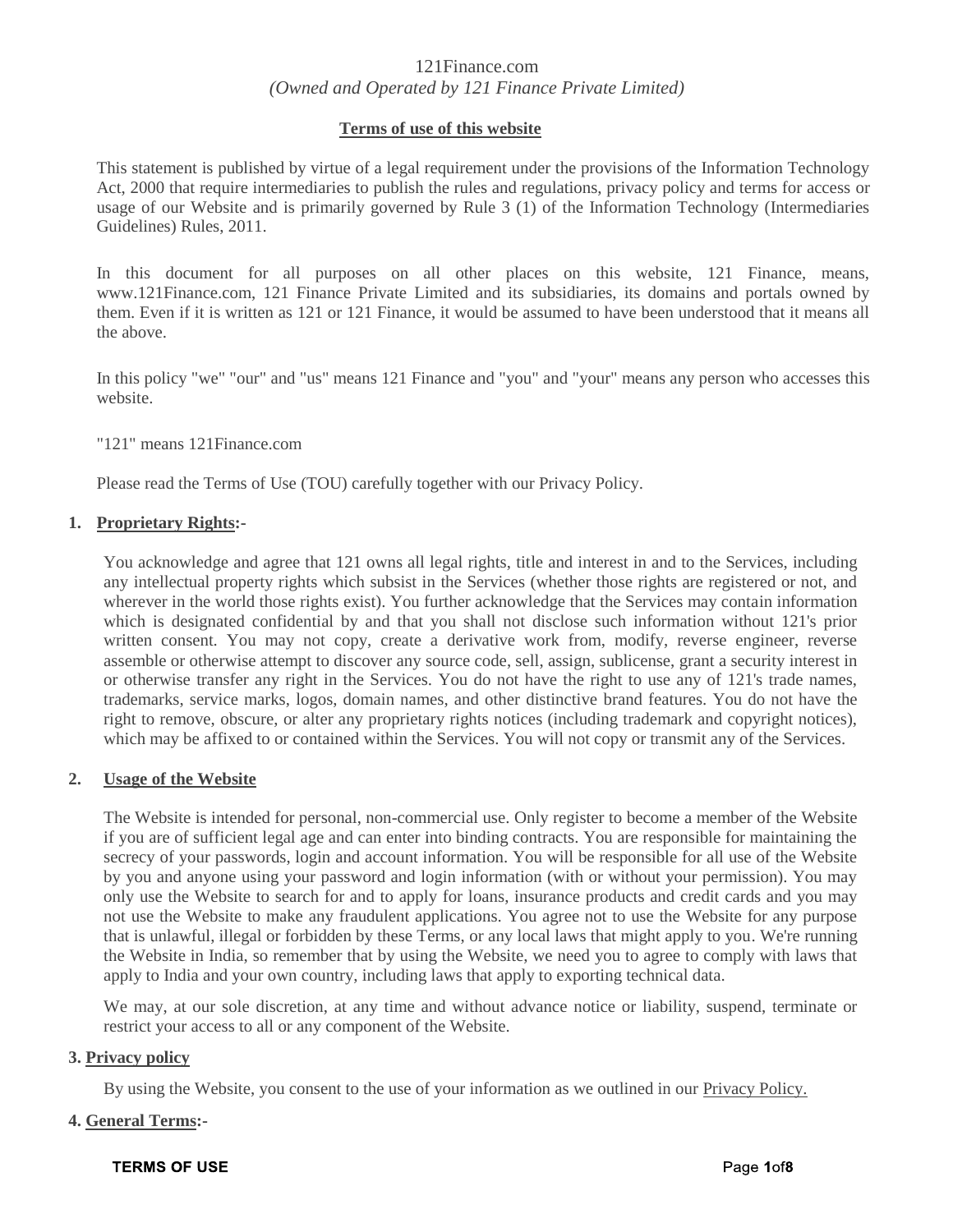# 121Finance.com *(Owned and Operated by 121 Finance Private Limited)*

## **Terms of use of this website**

This statement is published by virtue of a legal requirement under the provisions of the Information Technology Act, 2000 that require intermediaries to publish the rules and regulations, privacy policy and terms for access or usage of our Website and is primarily governed by Rule 3 (1) of the Information Technology (Intermediaries Guidelines) Rules, 2011.

In this document for all purposes on all other places on this website, 121 Finance, means, www.121Finance.com, 121 Finance Private Limited and its subsidiaries, its domains and portals owned by them. Even if it is written as 121 or 121 Finance, it would be assumed to have been understood that it means all the above.

In this policy "we" "our" and "us" means 121 Finance and "you" and "your" means any person who accesses this website.

"121" means 121Finance.com

Please read the Terms of Use (TOU) carefully together with our Privacy Policy.

## **1. Proprietary Rights:-**

You acknowledge and agree that 121 owns all legal rights, title and interest in and to the Services, including any intellectual property rights which subsist in the Services (whether those rights are registered or not, and wherever in the world those rights exist). You further acknowledge that the Services may contain information which is designated confidential by and that you shall not disclose such information without 121's prior written consent. You may not copy, create a derivative work from, modify, reverse engineer, reverse assemble or otherwise attempt to discover any source code, sell, assign, sublicense, grant a security interest in or otherwise transfer any right in the Services. You do not have the right to use any of 121's trade names, trademarks, service marks, logos, domain names, and other distinctive brand features. You do not have the right to remove, obscure, or alter any proprietary rights notices (including trademark and copyright notices), which may be affixed to or contained within the Services. You will not copy or transmit any of the Services.

## **2. Usage of the Website**

The Website is intended for personal, non-commercial use. Only register to become a member of the Website if you are of sufficient legal age and can enter into binding contracts. You are responsible for maintaining the secrecy of your passwords, login and account information. You will be responsible for all use of the Website by you and anyone using your password and login information (with or without your permission). You may only use the Website to search for and to apply for loans, insurance products and credit cards and you may not use the Website to make any fraudulent applications. You agree not to use the Website for any purpose that is unlawful, illegal or forbidden by these Terms, or any local laws that might apply to you. We're running the Website in India, so remember that by using the Website, we need you to agree to comply with laws that apply to India and your own country, including laws that apply to exporting technical data.

We may, at our sole discretion, at any time and without advance notice or liability, suspend, terminate or restrict your access to all or any component of the Website.

## **3. Privacy policy**

By using the Website, you consent to the use of your information as we outlined in our [Privacy Policy.](https://www.bankbazaar.com/privacy-policy.html)

## **4. General Terms:-**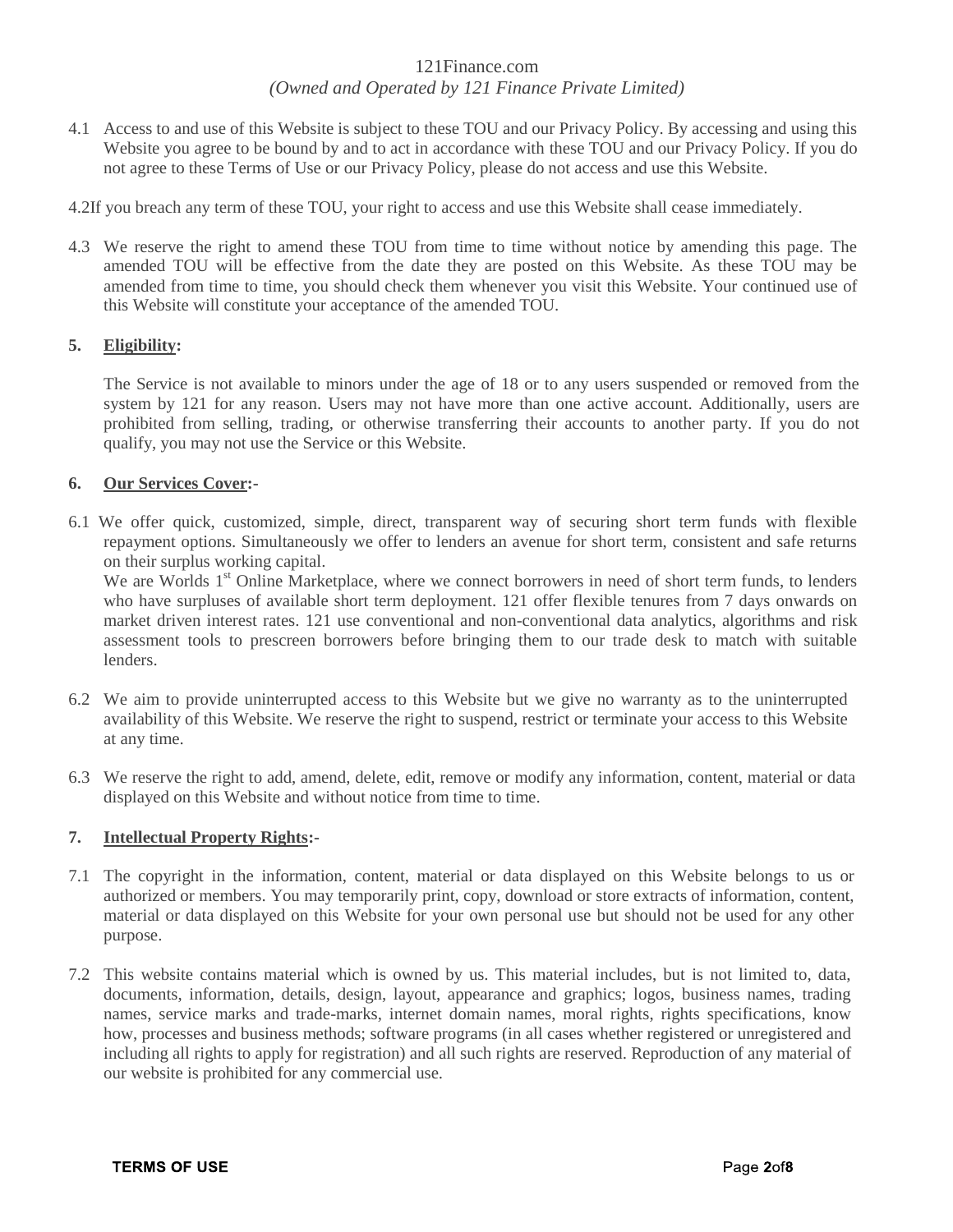# *(Owned and Operated by 121 Finance Private Limited)*

- 4.1 Access to and use of this Website is subject to these TOU and our Privacy Policy. By accessing and using this Website you agree to be bound by and to act in accordance with these TOU and our Privacy Policy. If you do not agree to these Terms of Use or our Privacy Policy, please do not access and use this Website.
- 4.2If you breach any term of these TOU, your right to access and use this Website shall cease immediately.
- 4.3 We reserve the right to amend these TOU from time to time without notice by amending this page. The amended TOU will be effective from the date they are posted on this Website. As these TOU may be amended from time to time, you should check them whenever you visit this Website. Your continued use of this Website will constitute your acceptance of the amended TOU.

# **5. Eligibility:**

The Service is not available to minors under the age of 18 or to any users suspended or removed from the system by 121 for any reason. Users may not have more than one active account. Additionally, users are prohibited from selling, trading, or otherwise transferring their accounts to another party. If you do not qualify, you may not use the Service or this Website.

# **6. Our Services Cover:-**

6.1 We offer quick, customized, simple, direct, transparent way of securing short term funds with flexible repayment options. Simultaneously we offer to lenders an avenue for short term, consistent and safe returns on their surplus working capital.

We are Worlds 1<sup>st</sup> Online Marketplace, where we connect borrowers in need of short term funds, to lenders who have surpluses of available short term deployment. 121 offer flexible tenures from 7 days onwards on market driven interest rates. 121 use conventional and non-conventional data analytics, algorithms and risk assessment tools to prescreen borrowers before bringing them to our trade desk to match with suitable lenders.

- 6.2 We aim to provide uninterrupted access to this Website but we give no warranty as to the uninterrupted availability of this Website. We reserve the right to suspend, restrict or terminate your access to this Website at any time.
- 6.3 We reserve the right to add, amend, delete, edit, remove or modify any information, content, material or data displayed on this Website and without notice from time to time.

# **7. Intellectual Property Rights:-**

- 7.1 The copyright in the information, content, material or data displayed on this Website belongs to us or authorized or members. You may temporarily print, copy, download or store extracts of information, content, material or data displayed on this Website for your own personal use but should not be used for any other purpose.
- 7.2 This website contains material which is owned by us. This material includes, but is not limited to, data, documents, information, details, design, layout, appearance and graphics; logos, business names, trading names, service marks and trade-marks, internet domain names, moral rights, rights specifications, know how, processes and business methods; software programs (in all cases whether registered or unregistered and including all rights to apply for registration) and all such rights are reserved. Reproduction of any material of our website is prohibited for any commercial use.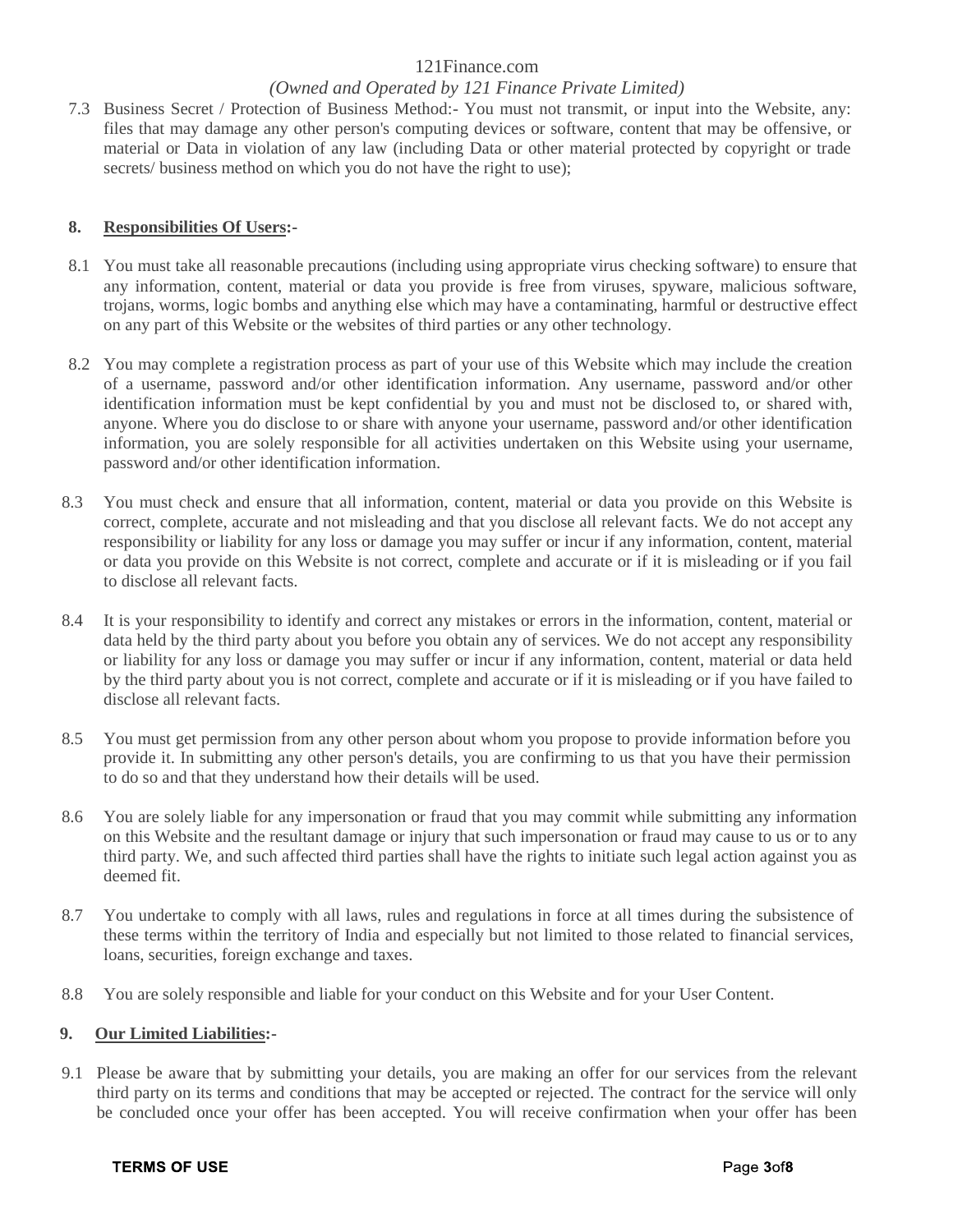# *(Owned and Operated by 121 Finance Private Limited)*

7.3 Business Secret / Protection of Business Method:- You must not transmit, or input into the Website, any: files that may damage any other person's computing devices or software, content that may be offensive, or material or Data in violation of any law (including Data or other material protected by copyright or trade secrets/ business method on which you do not have the right to use);

## **8. Responsibilities Of Users:-**

- 8.1 You must take all reasonable precautions (including using appropriate virus checking software) to ensure that any information, content, material or data you provide is free from viruses, spyware, malicious software, trojans, worms, logic bombs and anything else which may have a contaminating, harmful or destructive effect on any part of this Website or the websites of third parties or any other technology.
- 8.2 You may complete a registration process as part of your use of this Website which may include the creation of a username, password and/or other identification information. Any username, password and/or other identification information must be kept confidential by you and must not be disclosed to, or shared with, anyone. Where you do disclose to or share with anyone your username, password and/or other identification information, you are solely responsible for all activities undertaken on this Website using your username, password and/or other identification information.
- 8.3 You must check and ensure that all information, content, material or data you provide on this Website is correct, complete, accurate and not misleading and that you disclose all relevant facts. We do not accept any responsibility or liability for any loss or damage you may suffer or incur if any information, content, material or data you provide on this Website is not correct, complete and accurate or if it is misleading or if you fail to disclose all relevant facts.
- 8.4 It is your responsibility to identify and correct any mistakes or errors in the information, content, material or data held by the third party about you before you obtain any of services. We do not accept any responsibility or liability for any loss or damage you may suffer or incur if any information, content, material or data held by the third party about you is not correct, complete and accurate or if it is misleading or if you have failed to disclose all relevant facts.
- 8.5 You must get permission from any other person about whom you propose to provide information before you provide it. In submitting any other person's details, you are confirming to us that you have their permission to do so and that they understand how their details will be used.
- 8.6 You are solely liable for any impersonation or fraud that you may commit while submitting any information on this Website and the resultant damage or injury that such impersonation or fraud may cause to us or to any third party. We, and such affected third parties shall have the rights to initiate such legal action against you as deemed fit.
- 8.7 You undertake to comply with all laws, rules and regulations in force at all times during the subsistence of these terms within the territory of India and especially but not limited to those related to financial services, loans, securities, foreign exchange and taxes.
- 8.8 You are solely responsible and liable for your conduct on this Website and for your User Content.

## **9. Our Limited Liabilities:-**

9.1 Please be aware that by submitting your details, you are making an offer for our services from the relevant third party on its terms and conditions that may be accepted or rejected. The contract for the service will only be concluded once your offer has been accepted. You will receive confirmation when your offer has been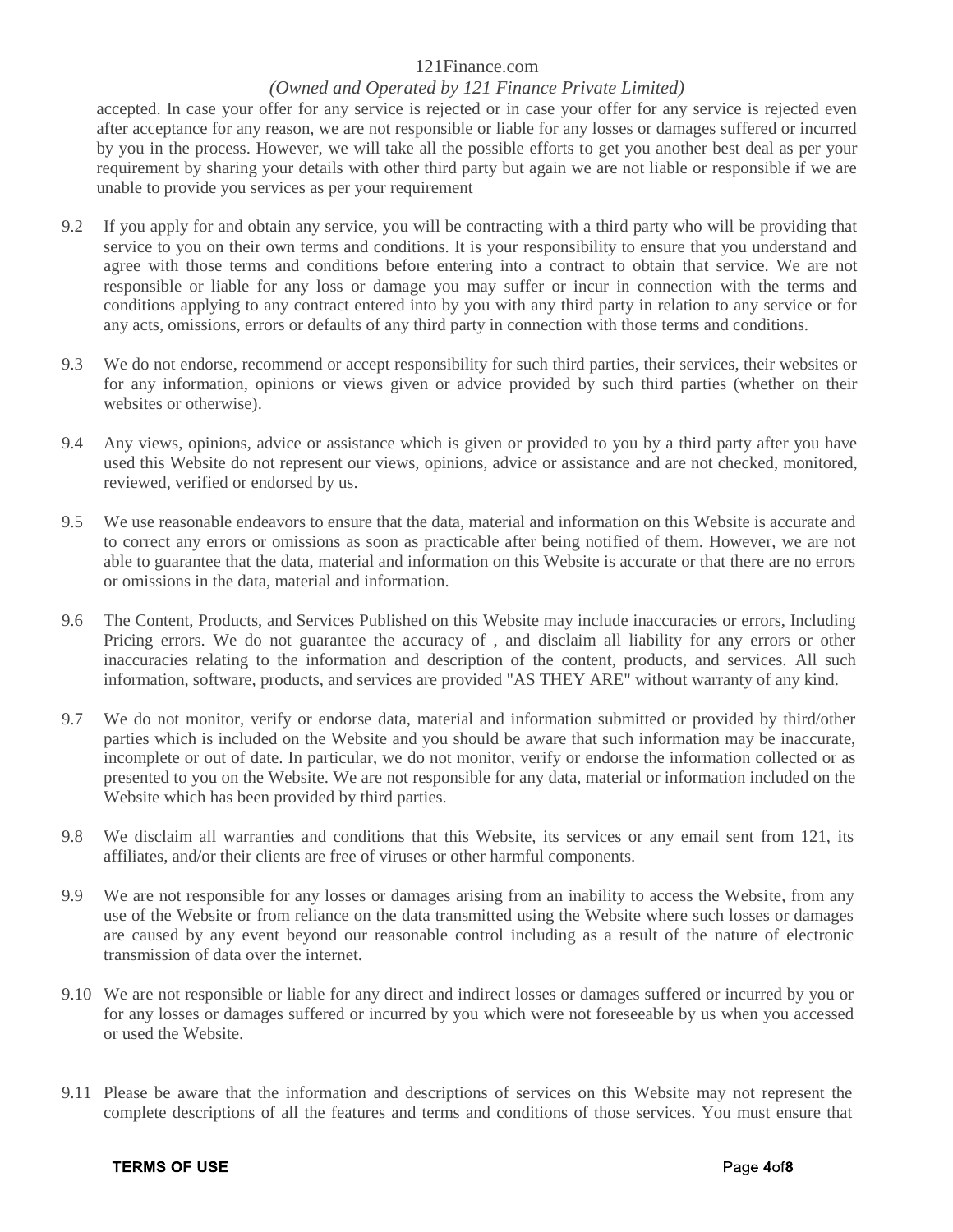# *(Owned and Operated by 121 Finance Private Limited)*

accepted. In case your offer for any service is rejected or in case your offer for any service is rejected even after acceptance for any reason, we are not responsible or liable for any losses or damages suffered or incurred by you in the process. However, we will take all the possible efforts to get you another best deal as per your requirement by sharing your details with other third party but again we are not liable or responsible if we are unable to provide you services as per your requirement

- 9.2 If you apply for and obtain any service, you will be contracting with a third party who will be providing that service to you on their own terms and conditions. It is your responsibility to ensure that you understand and agree with those terms and conditions before entering into a contract to obtain that service. We are not responsible or liable for any loss or damage you may suffer or incur in connection with the terms and conditions applying to any contract entered into by you with any third party in relation to any service or for any acts, omissions, errors or defaults of any third party in connection with those terms and conditions.
- 9.3 We do not endorse, recommend or accept responsibility for such third parties, their services, their websites or for any information, opinions or views given or advice provided by such third parties (whether on their websites or otherwise).
- 9.4 Any views, opinions, advice or assistance which is given or provided to you by a third party after you have used this Website do not represent our views, opinions, advice or assistance and are not checked, monitored, reviewed, verified or endorsed by us.
- 9.5 We use reasonable endeavors to ensure that the data, material and information on this Website is accurate and to correct any errors or omissions as soon as practicable after being notified of them. However, we are not able to guarantee that the data, material and information on this Website is accurate or that there are no errors or omissions in the data, material and information.
- 9.6 The Content, Products, and Services Published on this Website may include inaccuracies or errors, Including Pricing errors. We do not guarantee the accuracy of , and disclaim all liability for any errors or other inaccuracies relating to the information and description of the content, products, and services. All such information, software, products, and services are provided "AS THEY ARE" without warranty of any kind.
- 9.7 We do not monitor, verify or endorse data, material and information submitted or provided by third/other parties which is included on the Website and you should be aware that such information may be inaccurate, incomplete or out of date. In particular, we do not monitor, verify or endorse the information collected or as presented to you on the Website. We are not responsible for any data, material or information included on the Website which has been provided by third parties.
- 9.8 We disclaim all warranties and conditions that this Website, its services or any email sent from 121, its affiliates, and/or their clients are free of viruses or other harmful components.
- 9.9 We are not responsible for any losses or damages arising from an inability to access the Website, from any use of the Website or from reliance on the data transmitted using the Website where such losses or damages are caused by any event beyond our reasonable control including as a result of the nature of electronic transmission of data over the internet.
- 9.10 We are not responsible or liable for any direct and indirect losses or damages suffered or incurred by you or for any losses or damages suffered or incurred by you which were not foreseeable by us when you accessed or used the Website.
- 9.11 Please be aware that the information and descriptions of services on this Website may not represent the complete descriptions of all the features and terms and conditions of those services. You must ensure that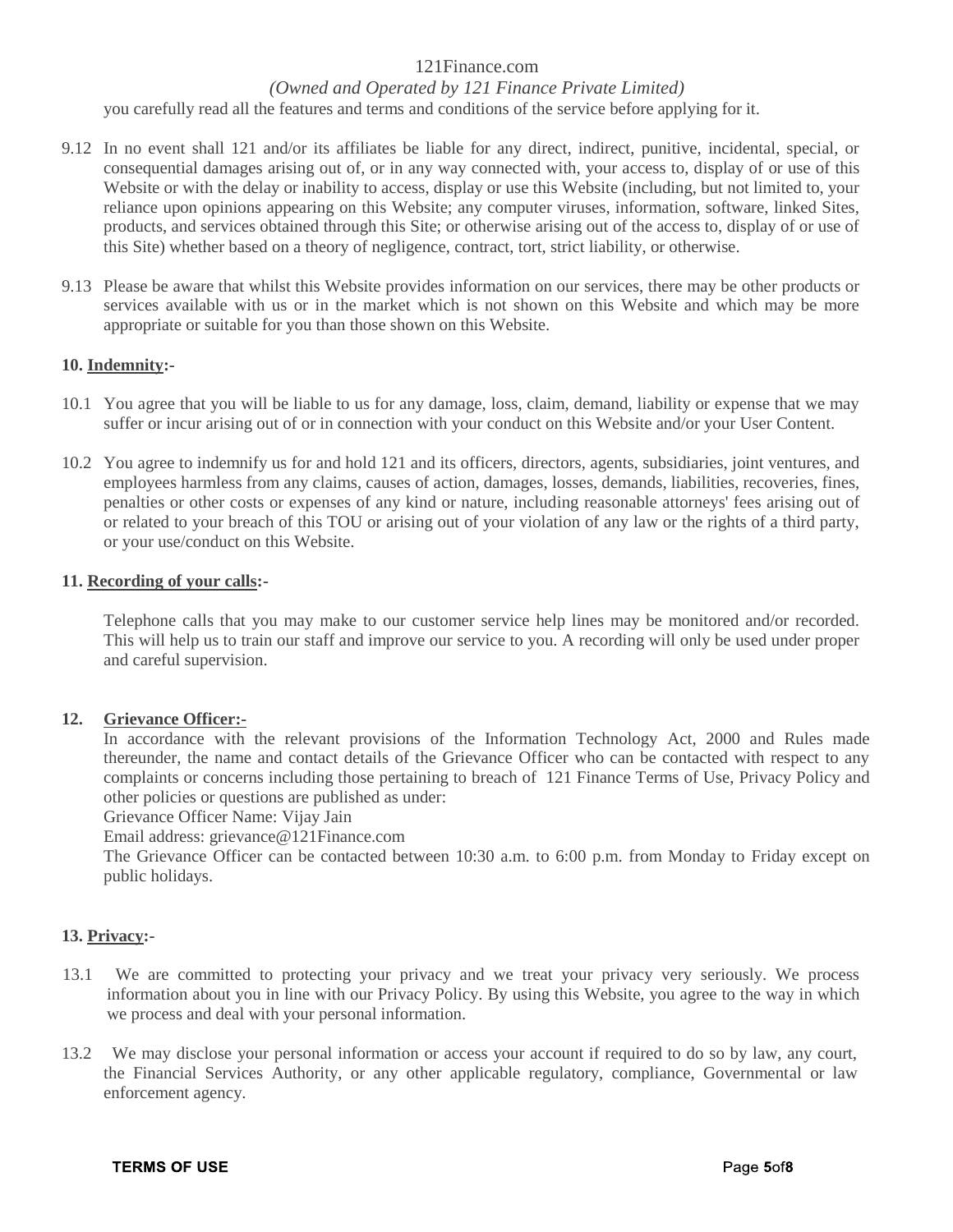## *(Owned and Operated by 121 Finance Private Limited)*

you carefully read all the features and terms and conditions of the service before applying for it.

- 9.12 In no event shall 121 and/or its affiliates be liable for any direct, indirect, punitive, incidental, special, or consequential damages arising out of, or in any way connected with, your access to, display of or use of this Website or with the delay or inability to access, display or use this Website (including, but not limited to, your reliance upon opinions appearing on this Website; any computer viruses, information, software, linked Sites, products, and services obtained through this Site; or otherwise arising out of the access to, display of or use of this Site) whether based on a theory of negligence, contract, tort, strict liability, or otherwise.
- 9.13 Please be aware that whilst this Website provides information on our services, there may be other products or services available with us or in the market which is not shown on this Website and which may be more appropriate or suitable for you than those shown on this Website.

#### **10. Indemnity:-**

- 10.1 You agree that you will be liable to us for any damage, loss, claim, demand, liability or expense that we may suffer or incur arising out of or in connection with your conduct on this Website and/or your User Content.
- 10.2 You agree to indemnify us for and hold 121 and its officers, directors, agents, subsidiaries, joint ventures, and employees harmless from any claims, causes of action, damages, losses, demands, liabilities, recoveries, fines, penalties or other costs or expenses of any kind or nature, including reasonable attorneys' fees arising out of or related to your breach of this TOU or arising out of your violation of any law or the rights of a third party, or your use/conduct on this Website.

#### **11. Recording of your calls:-**

Telephone calls that you may make to our customer service help lines may be monitored and/or recorded. This will help us to train our staff and improve our service to you. A recording will only be used under proper and careful supervision.

#### **12. Grievance Officer:-**

In accordance with the relevant provisions of the Information Technology Act, 2000 and Rules made thereunder, the name and contact details of the Grievance Officer who can be contacted with respect to any complaints or concerns including those pertaining to breach of 121 Finance Terms of Use, Privacy Policy and other policies or questions are published as under:

Grievance Officer Name: Vijay Jain

Email address: grievance@121Finance.com

The Grievance Officer can be contacted between 10:30 a.m. to 6:00 p.m. from Monday to Friday except on public holidays.

## **13. Privacy:-**

- 13.1 We are committed to protecting your privacy and we treat your privacy very seriously. We process information about you in line with our Privacy Policy. By using this Website, you agree to the way in which we process and deal with your personal information.
- 13.2 We may disclose your personal information or access your account if required to do so by law, any court, the Financial Services Authority, or any other applicable regulatory, compliance, Governmental or law enforcement agency.